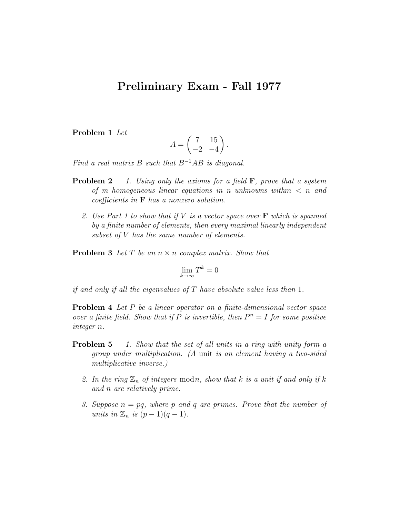## Preliminary Exam - Fall 1977

Problem 1 Let

$$
A = \begin{pmatrix} 7 & 15 \\ -2 & -4 \end{pmatrix}.
$$

Find a real matrix B such that  $B^{-1}AB$  is diagonal.

- **Problem 2** 1. Using only the axioms for a field  $\bf{F}$ , prove that a system of m homogeneous linear equations in n unknowns with  $m < n$  and coefficients in F has a nonzero solution.
	- 2. Use Part 1 to show that if  $V$  is a vector space over  $\bf{F}$  which is spanned by a finite number of elements, then every maximal linearly independent subset of V has the same number of elements.

**Problem 3** Let T be an  $n \times n$  complex matrix. Show that

$$
\lim_{k \to \infty} T^k = 0
$$

if and only if all the eigenvalues of  $T$  have absolute value less than 1.

Problem 4 Let P be a linear operator on a finite-dimensional vector space over a finite field. Show that if P is invertible, then  $P^n = I$  for some positive integer n.

- **Problem 5** 1. Show that the set of all units in a ring with unity form a group under multiplication. (A unit is an element having a two-sided multiplicative inverse.)
	- 2. In the ring  $\mathbb{Z}_n$  of integers modn, show that k is a unit if and only if k and n are relatively prime.
	- 3. Suppose  $n = pq$ , where p and q are primes. Prove that the number of units in  $\mathbb{Z}_n$  is  $(p-1)(q-1)$ .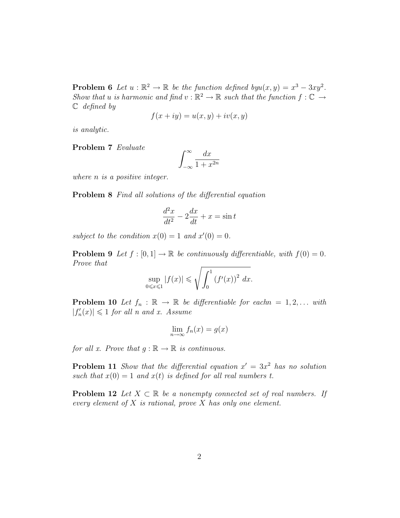**Problem 6** Let  $u : \mathbb{R}^2 \to \mathbb{R}$  be the function defined by  $u(x, y) = x^3 - 3xy^2$ . Show that u is harmonic and find  $v : \mathbb{R}^2 \to \mathbb{R}$  such that the function  $f : \mathbb{C} \to$  $\mathbb C$  defined by

$$
f(x+iy) = u(x,y) + iv(x,y)
$$

is analytic.

Problem 7 Evaluate

$$
\int_{-\infty}^{\infty} \frac{dx}{1 + x^{2n}}
$$

where *n* is a positive integer.

Problem 8 Find all solutions of the differential equation

$$
\frac{d^2x}{dt^2} - 2\frac{dx}{dt} + x = \sin t
$$

subject to the condition  $x(0) = 1$  and  $x'(0) = 0$ .

**Problem 9** Let  $f : [0, 1] \to \mathbb{R}$  be continuously differentiable, with  $f(0) = 0$ . Prove that

$$
\sup_{0 \leqslant x \leqslant 1} |f(x)| \leqslant \sqrt{\int_0^1 \left(f'(x)\right)^2 dx}.
$$

**Problem 10** Let  $f_n : \mathbb{R} \to \mathbb{R}$  be differentiable for each  $n = 1, 2, \ldots$  with  $|f'_n(x)| \leq 1$  for all n and x. Assume

$$
\lim_{n \to \infty} f_n(x) = g(x)
$$

for all x. Prove that  $q : \mathbb{R} \to \mathbb{R}$  is continuous.

**Problem 11** Show that the differential equation  $x' = 3x^2$  has no solution such that  $x(0) = 1$  and  $x(t)$  is defined for all real numbers t.

**Problem 12** Let  $X \subset \mathbb{R}$  be a nonempty connected set of real numbers. If every element of  $X$  is rational, prove  $X$  has only one element.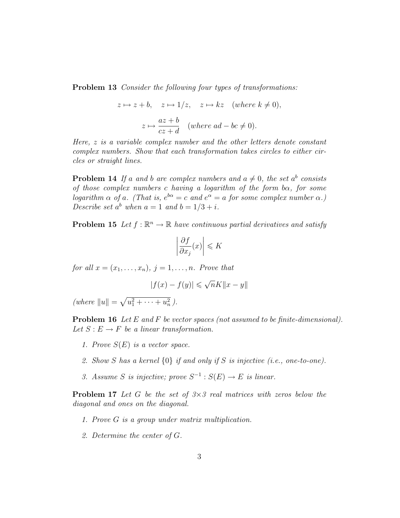Problem 13 Consider the following four types of transformations:

$$
z \mapsto z + b
$$
,  $z \mapsto 1/z$ ,  $z \mapsto kz$  (where  $k \neq 0$ ),  
 $z \mapsto \frac{az + b}{cz + d}$  (where  $ad - bc \neq 0$ ).

Here, z is a variable complex number and the other letters denote constant complex numbers. Show that each transformation takes circles to either circles or straight lines.

**Problem 14** If a and b are complex numbers and  $a \neq 0$ , the set  $a^b$  consists of those complex numbers c having a logarithm of the form b $\alpha$ , for some logarithm  $\alpha$  of a. (That is,  $e^{b\alpha} = c$  and  $e^{\alpha} = a$  for some complex number  $\alpha$ .) Describe set  $a^b$  when  $a = 1$  and  $b = 1/3 + i$ .

**Problem 15** Let  $f : \mathbb{R}^n \to \mathbb{R}$  have continuous partial derivatives and satisfy

$$
\left|\frac{\partial f}{\partial x_j}(x)\right| \leqslant K
$$

for all  $x = (x_1, \ldots, x_n)$ ,  $j = 1, \ldots, n$ . Prove that

$$
|f(x) - f(y)| \leqslant \sqrt{n}K||x - y||
$$

(where  $||u|| = \sqrt{u_1^2 + \cdots + u_n^2}$ ).

Problem 16 Let E and F be vector spaces (not assumed to be finite-dimensional). Let  $S : E \to F$  be a linear transformation.

- 1. Prove  $S(E)$  is a vector space.
- 2. Show S has a kernel  $\{0\}$  if and only if S is injective (i.e., one-to-one).
- 3. Assume S is injective; prove  $S^{-1}: S(E) \to E$  is linear.

**Problem 17** Let G be the set of  $3\times3$  real matrices with zeros below the diagonal and ones on the diagonal.

- 1. Prove G is a group under matrix multiplication.
- 2. Determine the center of G.